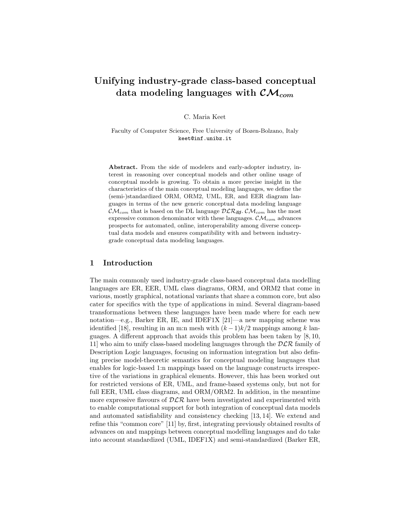# Unifying industry-grade class-based conceptual data modeling languages with  $\mathcal{CM}_{com}$

C. Maria Keet

Faculty of Computer Science, Free University of Bozen-Bolzano, Italy keet@inf.unibz.it

Abstract. From the side of modelers and early-adopter industry, interest in reasoning over conceptual models and other online usage of conceptual models is growing. To obtain a more precise insight in the characteristics of the main conceptual modeling languages, we define the (semi-)standardized ORM, ORM2, UML, ER, and EER diagram languages in terms of the new generic conceptual data modeling language  $\mathcal{CM}_{com}$  that is based on the DL language  $\mathcal{DLR}_{ifd}$ .  $\mathcal{CM}_{com}$  has the most expressive common denominator with these languages.  $\mathcal{CM}_{com}$  advances prospects for automated, online, interoperability among diverse conceptual data models and ensures compatibility with and between industrygrade conceptual data modeling languages.

# 1 Introduction

The main commonly used industry-grade class-based conceptual data modelling languages are ER, EER, UML class diagrams, ORM, and ORM2 that come in various, mostly graphical, notational variants that share a common core, but also cater for specifics with the type of applications in mind. Several diagram-based transformations between these languages have been made where for each new notation—e.g., Barker ER, IE, and IDEF1X [21]—a new mapping scheme was identified [18], resulting in an m:n mesh with  $(k-1)k/2$  mappings among k languages. A different approach that avoids this problem has been taken by [8, 10, 11] who aim to unify class-based modeling languages through the  $DLR$  family of Description Logic languages, focusing on information integration but also defining precise model-theoretic semantics for conceptual modeling languages that enables for logic-based 1:n mappings based on the language constructs irrespective of the variations in graphical elements. However, this has been worked out for restricted versions of ER, UML, and frame-based systems only, but not for full EER, UML class diagrams, and ORM/ORM2. In addition, in the meantime more expressive flavours of  $D\mathcal{L}\mathcal{R}$  have been investigated and experimented with to enable computational support for both integration of conceptual data models and automated satisfiability and consistency checking [13, 14]. We extend and refine this "common core" [11] by, first, integrating previously obtained results of advances on and mappings between conceptual modelling languages and do take into account standardized (UML, IDEF1X) and semi-standardized (Barker ER,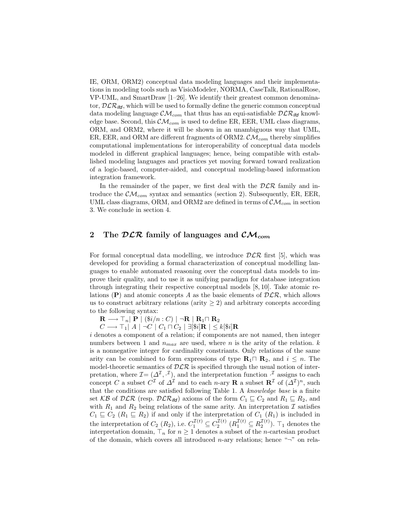IE, ORM, ORM2) conceptual data modeling languages and their implementations in modeling tools such as VisioModeler, NORMA, CaseTalk, RationalRose, VP-UML, and SmartDraw [1–26]. We identify their greatest common denominator,  $D\mathcal{LR}_{\mathsf{ifd}}$ , which will be used to formally define the generic common conceptual data modeling language  $\mathcal{CM}_{com}$  that thus has an equi-satisfiable  $\mathcal{DLR}_{\textit{ifd}}$  knowledge base. Second, this  $\mathcal{CM}_{com}$  is used to define ER, EER, UML class diagrams, ORM, and ORM2, where it will be shown in an unambiguous way that UML, ER, EER, and ORM are different fragments of ORM2.  $\mathcal{CM}_{com}$  thereby simplifies computational implementations for interoperability of conceptual data models modeled in different graphical languages; hence, being compatible with established modeling languages and practices yet moving forward toward realization of a logic-based, computer-aided, and conceptual modeling-based information integration framework.

In the remainder of the paper, we first deal with the  $D\mathcal{LR}$  family and introduce the  $\mathcal{CM}_{com}$  syntax and semantics (section 2). Subsequently, ER, EER, UML class diagrams, ORM, and ORM2 are defined in terms of  $\mathcal{CM}_{com}$  in section 3. We conclude in section 4.

# 2 The  $DLR$  family of languages and  $CM_{com}$

For formal conceptual data modelling, we introduce  $D\mathcal{L}\mathcal{R}$  first [5], which was developed for providing a formal characterization of conceptual modelling languages to enable automated reasoning over the conceptual data models to improve their quality, and to use it as unifying paradigm for database integration through integrating their respective conceptual models [8, 10]. Take atomic relations (P) and atomic concepts A as the basic elements of  $D\mathcal{LR}$ , which allows us to construct arbitrary relations (arity  $\geq$  2) and arbitrary concepts according to the following syntax:

 $\mathbf{R}$  →  $\top_n$ | **P** | ( $\frac{\$i}{n}$  : C) | ¬**R** | **R**<sub>1</sub> $\sqcap$  **R**<sub>2</sub>

 $C \longrightarrow \top_1 |A| \neg C |C_1 \sqcap C_2 | \exists [\$i] \mathbf{R} | \leq k[\$i] \mathbf{R}$ 

i denotes a component of a relation; if components are not named, then integer numbers between 1 and  $n_{max}$  are used, where n is the arity of the relation. k is a nonnegative integer for cardinality constriants. Only relations of the same arity can be combined to form expressions of type  $\mathbf{R}_1 \cap \mathbf{R}_2$ , and  $i \leq n$ . The model-theoretic semantics of  $D\mathcal{L}\mathcal{R}$  is specified through the usual notion of interpretation, where  $\mathcal{I} = (\Delta^{\mathcal{I}}, \cdot^{\mathcal{I}})$ , and the interpretation function  $\cdot^{\mathcal{I}}$  assigns to each concept C a subset  $C^{\mathcal{I}}$  of  $\Delta^{\mathcal{I}}$  and to each n-ary **R** a subset  $\mathbb{R}^{\mathcal{I}}$  of  $(\Delta^{\mathcal{I}})^n$ , such that the conditions are satisfied following Table 1. A knowledge base is a finite set KB of DCR (resp.  $D\mathcal{LR}_{\text{ifd}}$ ) axioms of the form  $C_1 \sqsubseteq C_2$  and  $R_1 \sqsubseteq R_2$ , and with  $R_1$  and  $R_2$  being relations of the same arity. An interpretation  $\mathcal I$  satisfies  $C_1 \subseteq C_2$  ( $R_1 \subseteq R_2$ ) if and only if the interpretation of  $C_1$  ( $R_1$ ) is included in the interpretation of  $C_2(R_2)$ , i.e.  $C_1^{\mathcal{I}(t)} \subseteq C_2^{\mathcal{I}(t)}$   $(R_1^{\mathcal{I}(t)} \subseteq R_2^{\mathcal{I}(t)})$ .  $\top_1$  denotes the interpretation domain,  $\top_n$  for  $n \geq 1$  denotes a subset of the *n*-cartesian product of the domain, which covers all introduced *n*-ary relations; hence " $\neg$ " on rela-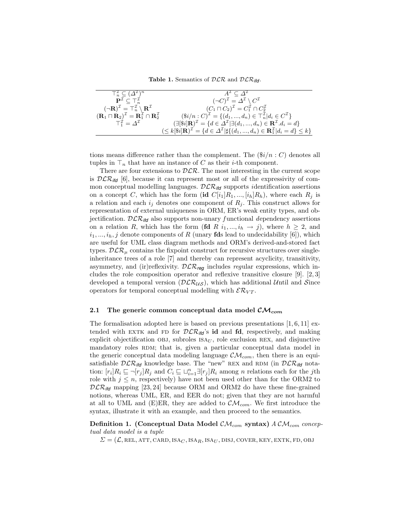Table 1. Semantics of  $DLR$  and  $DLR$ <sub>ifd</sub>.

| $\top_n^{\mathcal{I}} \subseteq (\Delta^{\mathcal{I}})^n$                                                       | $A^{\perp} \subseteq \Delta^{\perp}$                                                                                                                |
|-----------------------------------------------------------------------------------------------------------------|-----------------------------------------------------------------------------------------------------------------------------------------------------|
| $\mathbf{P}^\mathcal{I} \subset \top_n^\mathcal{I}$                                                             | $(\neg C)^{\mathcal{I}} = \Delta^{\mathcal{I}} \setminus C^{\mathcal{I}}$                                                                           |
| $(\neg \mathbf{R})^{\mathcal{I}} = \top_n^{\mathcal{I}} \setminus \mathbf{R}^{\mathcal{I}}$                     | $(C_1 \sqcap C_2)^{\mathcal{I}} = C_1^{\mathcal{I}} \cap C_2^{\mathcal{I}}$                                                                         |
| $(\mathbf{R}_1 \sqcap \mathbf{R}_2)^{\mathcal{I}} = \mathbf{R}_1^{\mathcal{I}} \cap \mathbf{R}_2^{\mathcal{I}}$ | $(\$i/n : C)^{\mathcal{I}} = \{(d_1, , d_n) \in \top_n^{\mathcal{I}}   d_i \in C^{\mathcal{I}}\}\$                                                  |
| $T_1^{\mathcal{I}} = \Lambda^{\mathcal{I}}$                                                                     | $(\exists [\$i] \mathbf{R})^{\mathcal{I}} = \{d \in \Delta^{\mathcal{I}}   \exists (d_1, , d_n) \in \mathbf{R}^{\mathcal{I}}. d_i = d\}$            |
|                                                                                                                 | $(\leq k[\$i] \mathbf{R})^{\mathcal{I}} = \{d \in \Delta^{\mathcal{I}}   \sharp \{(d_1, , d_n) \in \mathbf{R}_1^{\mathcal{I}}   d_i = d\} \leq k\}$ |

tions means difference rather than the complement. The  $(\frac{\$i}{n} : C)$  denotes all tuples in  $\mathsf{T}_n$  that have an instance of C as their *i*-th component.

There are four extensions to  $D\mathcal{LR}$ . The most interesting in the current scope is  $D\mathcal{LR}_{\text{ifd}}$  [6], because it can represent most or all of the expressivity of common conceptual modelling languages. DLR*ifd* supports identification assertions on a concept C, which has the form  $(id\;C[i_1]R_1,\ldots, [i_h]R_h)$ , where each  $R_i$  is a relation and each  $i_j$  denotes one component of  $R_j$ . This construct allows for representation of external uniqueness in ORM, ER's weak entity types, and objectification.  $DLR_{ifd}$  also supports non-unary functional dependency assertions on a relation R, which has the form  $(\text{fd } R \, i_1, ..., i_h \, \rightarrow j)$ , where  $h \geq 2$ , and  $i_1, ..., i_h, j$  denote components of R (unary **fds** lead to undecidability [6]), which are useful for UML class diagram methods and ORM's derived-and-stored fact types.  $D\mathcal{LR}_\mu$  contains the fixpoint construct for recursive structures over singleinheritance trees of a role [7] and thereby can represent acyclicity, transitivity, asymmetry, and (ir)reflexivity.  $D\mathcal{LR}_{req}$  includes regular expressions, which includes the role composition operator and reflexive transitive closure [9]. [2, 3] developed a temporal version  $(DLR_{US})$ , which has additional Until and Since operators for temporal conceptual modelling with  $\mathcal{ER}_{VT}$ .

#### 2.1 The generic common conceptual data model  $\mathcal{CM}_{com}$

The formalisation adopted here is based on previous presentations  $[1, 6, 11]$  extended with EXTK and FD for  $D\mathcal{LR}_{\mathsf{iff}}$ 's id and fd, respectively, and making explicit objectification OBJ, subroles  $ISA_U$ , role exclusion REX, and disjunctive mandatory roles RDM; that is, given a particular conceptual data model in the generic conceptual data modeling language  $\mathcal{CM}_{com}$ , then there is an equisatisfiable  $DLR_{ifd}$  knowledge base. The "new" REX and RDM (in  $DLR_{ifd}$  notation:  $[r_i]R_i \sqsubseteq \neg[r_j]R_j$  and  $C_i \sqsubseteq \sqcup_{i=1}^n \exists [r_j]R_i$  among n relations each for the jth role with  $j \leq n$ , respectively) have not been used other than for the ORM2 to  $DLR_{\text{ifd}}$  mapping [23, 24] because ORM and ORM2 do have these fine-grained notions, whereas UML, ER, and EER do not; given that they are not harmful at all to UML and (E)ER, they are added to  $\mathcal{CM}_{com}$ . We first introduce the syntax, illustrate it with an example, and then proceed to the semantics.

Definition 1. (Conceptual Data Model  $\mathcal{CM}_{com}$  syntax)  $ACM_{com}$  conceptual data model is a tuple

 $\Sigma = (\mathcal{L}, \text{REL}, \text{ATT}, \text{CARD}, \text{ISA}_C, \text{ISA}_R, \text{ISA}_U, \text{DISJ}, \text{COVER}, \text{KEY}, \text{EXTK}, \text{FD}, \text{OBJ})$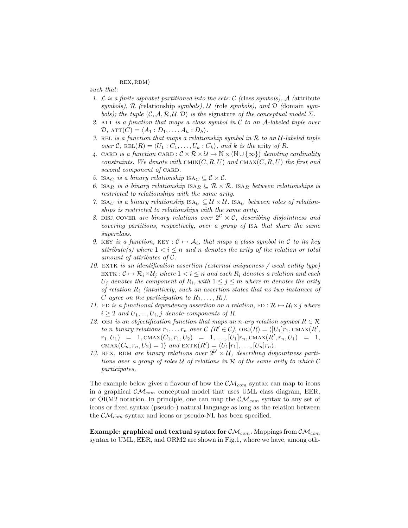#### rex, rdm)

such that:

- 1. L is a finite alphabet partitioned into the sets: C (class symbols), A (attribute symbols),  $R$  (relationship symbols),  $U$  (role symbols), and  $D$  (domain symbols); the tuple  $(C, \mathcal{A}, \mathcal{R}, \mathcal{U}, \mathcal{D})$  is the signature of the conceptual model  $\Sigma$ .
- 2. ATT is a function that maps a class symbol in  $\mathcal C$  to an A-labeled tuple over  $\mathcal{D}$ ,  $ATT(C) = \langle A_1 : D_1, \ldots, A_h : D_h \rangle$ .
- 3. REL is a function that maps a relationship symbol in  $R$  to an  $U$ -labeled tuple over C, REL $(R) = \langle U_1 : C_1, \ldots, U_k : C_k \rangle$ , and k is the arity of R.
- 4. CARD is a function CARD :  $\mathcal{C} \times \mathcal{R} \times \mathcal{U} \mapsto \mathbb{N} \times (\mathbb{N} \cup {\infty})$  denoting cardinality constraints. We denote with CMIN $(C, R, U)$  and CMAX $(C, R, U)$  the first and second component of CARD.
- 5. ISA<sub>C</sub> is a binary relationship ISA<sub>C</sub>  $\subseteq \mathcal{C} \times \mathcal{C}$ .
- 6. ISAR is a binary relationship  $ISA_R \subseteq \mathcal{R} \times \mathcal{R}$ . ISAR between relationships is restricted to relationships with the same arity.
- 7. ISAU is a binary relationship  $IS_{U} \subseteq \mathcal{U} \times \mathcal{U}$ . ISAU between roles of relationships is restricted to relationships with the same arity.
- 8. DISJ, COVER are binary relations over  $2^{\mathcal{C}} \times \mathcal{C}$ , describing disjointness and covering partitions, respectively, over a group of isa that share the same superclass.
- 9. KEY is a function, KEY :  $C \mapsto A_i$ , that maps a class symbol in C to its key attribute(s) where  $1 < i \leq n$  and n denotes the arity of the relation or total amount of attributes of C.
- 10. EXTK is an identification assertion (external uniqueness / weak entity type) EXTK :  $C \mapsto \mathcal{R}_i \times \mathcal{U}_j$  where  $1 < i \leq n$  and each  $R_i$  denotes a relation and each  $U_j$  denotes the component of  $R_i$ , with  $1 \leq j \leq m$  where m denotes the arity of relation  $R_i$  (intuitively, such an assertion states that no two instances of C agree on the participation to  $R_1, \ldots, R_i$ ).
- 11. FD is a functional dependency assertion on a relation, FD :  $\mathcal{R} \mapsto \mathcal{U}_i \times j$  where  $i \geq 2$  and  $U_1, ..., U_i, j$  denote components of R.
- 12. Objectification function that maps an n-ary relation symbol  $R \in \mathcal{R}$ to n binary relations  $r_1, \ldots r_n$  over  $\mathcal{C}(R' \in \mathcal{C})$ ,  $\mathrm{OBJ}(R) = \langle [U_1]r_1, \mathrm{CMAX}(R',$  $r_1, U_1$  = 1,  $\text{CMAX}(C_1, r_1, U_2)$  = 1, ...,  $[U_1]r_n, \text{CMAX}(R', r_n, U_1)$  = 1, CMAX $(C_n, r_n, U_2) = 1$  and EXTK $(R') = \langle U_1[r_1], \ldots, [U_n]r_n \rangle$ .
- 13. REX, RDM are binary relations over  $2^{\mathcal{U}} \times \mathcal{U}$ , describing disjointness partitions over a group of roles  $U$  of relations in  $\mathcal R$  of the same arity to which  $\mathcal C$ participates.

The example below gives a flavour of how the  $\mathcal{CM}_{com}$  syntax can map to icons in a graphical  $\mathcal{CM}_{com}$  conceptual model that uses UML class diagram, EER, or ORM2 notation. In principle, one can map the  $\mathcal{CM}_{com}$  syntax to any set of icons or fixed syntax (pseudo-) natural language as long as the relation between the  $\mathcal{CM}_{com}$  syntax and icons or pseudo-NL has been specified.

Example: graphical and textual syntax for  $\mathcal{CM}_{com}$ . Mappings from  $\mathcal{CM}_{com}$ syntax to UML, EER, and ORM2 are shown in Fig.1, where we have, among oth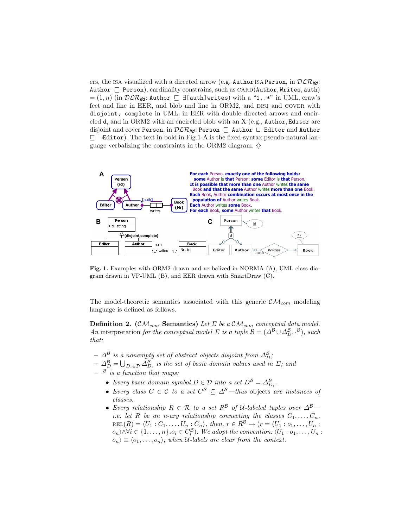ers, the ISA visualized with a directed arrow (e.g. Author ISA Person, in  $DLR_{\text{ifd}}$ : Author  $\subseteq$  Person), cardinality constrains, such as CARD(Author, Writes, auth)  $=(1, n)$  (in  $\mathcal{DLR}_{\mathit{lid}}$ : Author  $\subseteq \exists$ [auth]writes) with a "1..\*" in UML, craw's feet and line in EER, and blob and line in ORM2, and DISJ and COVER with disjoint, complete in UML, in EER with double directed arrows and encircled d, and in ORM2 with an encircled blob with an X (e.g., Author, Editor are disjoint and cover Person, in  $D\mathcal{LR}_{\mathit{iff}}$ : Person  $\sqsubseteq$  Author  $\sqcup$  Editor and Author  $\subseteq$   $\neg$ **Editor**). The text in bold in Fig.1-A is the fixed-syntax pseudo-natural language verbalizing the constraints in the ORM2 diagram.  $\diamond$ 



Fig. 1. Examples with ORM2 drawn and verbalized in NORMA (A), UML class diagram drawn in VP-UML (B), and EER drawn with SmartDraw (C).

The model-theoretic semantics associated with this generic  $\mathcal{CM}_{com}$  modeling language is defined as follows.

**Definition 2.** (CM<sub>com</sub> Semantics) Let  $\Sigma$  be a CM<sub>com</sub> conceptual data model. An interpretation for the conceptual model  $\Sigma$  is a tuple  $\mathcal{B} = (\Delta^{\mathcal{B}} \cup \Delta^{\mathcal{B}}_{D}, \cdot^{\mathcal{B}})$ , such that:

- $\varDelta^{\mathcal{B}}$  is a nonempty set of abstract objects disjoint from  $\varDelta^{\mathcal{B}}_D$ ;
- $-\Delta_D^{\mathcal{B}}=\bigcup_{D_i\in\mathcal{D}}\Delta_{D_i}^{\mathcal{B}}$  is the set of basic domain values used in  $\Sigma;$  and
- $\cdot$ <sup>B</sup> is a function that maps:
	- Every basic domain symbol  $D \in \mathcal{D}$  into a set  $D^{\mathcal{B}} = \Delta_{D_i}^{\mathcal{B}}$ .
	- Every class  $C \in \mathcal{C}$  to a set  $C^{\mathcal{B}} \subseteq \Delta^{\mathcal{B}}$ —thus objects are instances of classes.
	- Every relationship  $R \in \mathcal{R}$  to a set  $R^{\mathcal{B}}$  of U-labeled tuples over  $\Delta^{\mathcal{B}}$  *i.e.* let R be an n-ary relationship connecting the classes  $C_1, \ldots, C_n$ ,  $REL(R) = \langle U_1 : C_1, \ldots, U_n : C_n \rangle$ , then,  $r \in R^{\mathcal{B}} \to (r = \langle U_1 : o_1, \ldots, U_n :$  $o_n\rangle \wedge \forall i \in \{1,\ldots,n\}$ .  $o_i \in C_i^{\mathcal{B}}$ ). We adopt the convention:  $\langle U_1: o_1, \ldots, U_n:$  $\langle o_n \rangle \equiv \langle o_1, \ldots, o_n \rangle$ , when U-labels are clear from the context.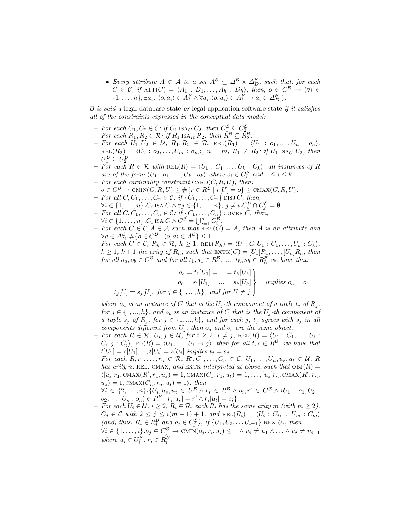• Every attribute  $A \in \mathcal{A}$  to a set  $A^{\mathcal{B}} \subseteq \Delta^{\mathcal{B}} \times \Delta^{\mathcal{B}}_{D}$ , such that, for each  $C \in \mathcal{C}$ , if  $ATT(C) = \langle A_1 : D_1, \ldots, A_h : D_h \rangle$ , then,  $o \in C^{\mathcal{B}} \to (\forall i \in$  $\{1, \ldots, h\}, \exists a_i. \langle o, a_i \rangle \in A_i^{\mathcal{B}} \wedge \forall a_i. \langle o, a_i \rangle \in A_i^{\mathcal{B}} \rightarrow a_i \in \Delta_{D_i}^{\mathcal{B}}\}.$ 

 $\beta$  is said a legal database state or legal application software state if it satisfies all of the constraints expressed in the conceptual data model:

- For each  $C_1, C_2 \in \mathcal{C}$ : if  $C_1$  ISA<sub>C</sub>  $C_2$ , then  $C_1^{\mathcal{B}} \subseteq C_2^{\mathcal{B}}$ .
- $-$  For each  $R_1, R_2 \in \mathcal{R}$ : if  $R_1$  ISA<sub>R</sub>  $R_2$ , then  $R_1^B \subseteq \tilde{R}_2^B$ .
- $-$  For each  $U_1, U_2 \in \mathcal{U}, R_1, R_2 \in \mathcal{R}, \text{REL}(\hat{R}_1) = \langle U_1 : o_1, \ldots, U_n : o_n \rangle,$  $REL(R_2) = \langle U_2 : o_2, \ldots, U_m : o_m \rangle, n = m, R_1 \neq R_2: \text{ if } U_1 \text{ ISA}_U U_2, \text{ then }$  $U_1^{\mathcal{B}} \subseteq U_2^{\mathcal{B}}.$
- $-$  For each  $R \in \mathcal{R}$  with  $REL(R) = \langle U_1 : C_1, \ldots, U_k : C_k \rangle$ : all instances of R are of the form  $\langle U_1 : o_1, \ldots, U_k : o_k \rangle$  where  $o_i \in C_i^{\mathcal{B}}$  and  $1 \leq i \leq k$ .
- For each cardinality constraint  $CARD(C, R, U)$ , then:
- $o \in C^{\mathcal{B}} \to \text{CMIN}(C, R, U) \leq \# \{r \in R^{\mathcal{B}} \mid r[U] = o\} \leq \text{CMAX}(C, R, U).$ – For all  $C, C_1, \ldots, C_n \in \mathcal{C}$ : if  $\{C_1, \ldots, C_n\}$  disj  $C$ , then,
- $\forall i \in \{1, \ldots, n\} \cdot C_i$  ISA  $C \wedge \forall j \in \{1, \ldots, n\}, \ j \neq i \cdot C_i^{\mathcal{B}} \cap C_j^{\mathcal{B}} = \emptyset$ .
- For all  $C, C_1, \ldots, C_n \in \mathcal{C}:$  if  $\{C_1, \ldots, C_n\}$  COVER  $C$ , then,  $\forall i \in \{1, \ldots, n\} \cdot C_i$  ISA  $C \wedge C^{\mathcal{B}} = \bigcup_{i=1}^n C_i^{\mathcal{B}}$ .
- For each  $C \in \mathcal{C}, A \in \mathcal{A}$  such that  $\text{KEY}(\mathcal{C}) = A$ , then A is an attribute and  $\forall a \in \Delta_D^{\mathcal{B}}. \#\{o \in C^{\mathcal{B}} \mid \langle o, a \rangle \in A^{\mathcal{B}}\} \leq 1.$
- *− For each*  $C \in \mathcal{C}$ ,  $R_h \in \mathcal{R}$ ,  $h \geq 1$ ,  $REL(R_h) = \langle U : C, U_1 : C_1, \ldots, U_k : C_k \rangle$ ,  $k \geq 1$ ,  $k+1$  the arity of  $R_h$ , such that  $\text{EXTK}(C) = [U_1]R_1, \ldots, [U_h]R_h$ , then for all  $o_a, o_b \in C^{\mathcal{B}}$  and for all  $t_1, s_1 \in R_1^{\mathcal{B}}, ..., t_h, s_h \in R_h^{\mathcal{B}}$  we have that:

$$
o_a = t_1[U_1] = \dots = t_h[U_h]
$$
  
\n
$$
o_b = s_1[U_1] = \dots = s_h[U_h]
$$
  
\n
$$
t_j[U] = s_j[U], \text{ for } j \in \{1, \dots, h\}, \text{ and for } U \neq j
$$
  
\n
$$
t_j[U] = s_j[U], \text{ for } j \in \{1, \dots, h\}, \text{ and for } U \neq j
$$

where  $o_a$  is an instance of C that is the  $U_j$ -th component of a tuple  $t_j$  of  $R_j$ , for  $j \in \{1, ..., h\}$ , and  $o_b$  is an instance of C that is the  $U_j$ -th component of a tuple  $s_j$  of  $R_j$ , for  $j \in \{1, ..., h\}$ , and for each j,  $t_j$  agrees with  $s_j$  in all components different from  $U_j$ , then  $o_a$  and  $o_b$  are the same object.

- $-$  For each  $R \in \mathcal{R}, U_i, j \in \mathcal{U},$  for  $i \geq 2, i \neq j$ ,  $\text{REL}(R) = \langle U_1 : C_1, \ldots, U_i :$  $C_i, j : C_j$ ,  $FD(R) = \langle U_1, \ldots, U_i \to j \rangle$ , then for all  $t, s \in R^{\mathcal{B}}$ , we have that  $t[U_1] = s[U_1], ..., t[U_i] = s[U_i]$  implies  $t_j = s_j$ .
- $-$  For each  $R, r_1, \ldots, r_n \in \mathcal{R}, R', C_1, \ldots, C_n \in \mathcal{C}, U_1, \ldots, U_n, u_s, u_t \in \mathcal{U}, R$ has arity n, REL, CMAX, and EXTK interpreted as above, such that  $OBJ(R) =$  $\langle [u_s]r_1, \text{CMAX}(R', r_1, u_s) = 1, \text{CMAX}(C_1, r_1, u_t) = 1, \dots, [u_s]r_n, \text{CMAX}(R', r_n,$  $u_s$ ) = 1, CMAX $(C_n, r_n, u_t)$  = 1 $\rangle$ , then

 $\forall i \in \{2, ..., n\}.\{U_i, u_s, u_t \in U^B \land r_i \in R^B \land o_i, r' \in C^B \land \langle U_1 : o_1, U_2 : v \}$  $o_2, \ldots, U_n : o_n \rangle \in R^{\mathcal{B}} |r_i[u_s] = r' \wedge r_i[u_t] = o_i \}.$ 

 $-$  For each  $U_i \in \mathcal{U}, i \geq 2, R_i \in \mathcal{R}$ , each  $R_i$  has the same arity m (with  $m \geq 2$ ),  $C_j \in \mathcal{C}$  with  $2 \leq j \leq i(m-1)+1$ , and  $\text{REL}(R_i) = \langle U_i : C_i, \dots U_m : C_m \rangle$ (and, thus,  $R_i \in R_i^{\mathcal{B}}$  and  $o_j \in C_j^{\mathcal{B}}$ ), if  $\{U_1, U_2, \ldots U_{i-1}\}$  REX  $U_i$ , then  $\forall i \in \{1, \ldots, i\} \cdot o_j \in C_j^{\mathcal{B}} \to \text{CMIN}(o_j, r_i, u_i) \leq 1 \land u_i \neq u_1 \land \ldots \land u_i \neq u_{i-1}$ where  $u_i \in U_i^{\mathcal{B}}, r_i \in R_i^{\mathcal{B}}$ .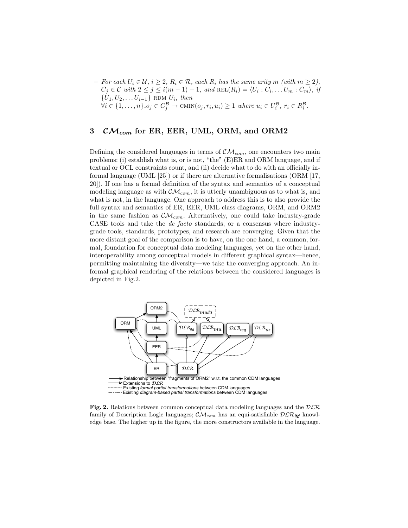$−$  For each  $U_i \in \mathcal{U}, i \geq 2, R_i \in \mathcal{R},$  each  $R_i$  has the same arity m (with  $m \geq 2$ ),  $C_j \in \mathcal{C}$  with  $2 \leq j \leq i(m-1)+1$ , and  $\text{REL}(R_i) = \langle U_i : C_i, \dots U_m : C_m \rangle$ , if  $\{U_1, U_2, \ldots U_{i-1}\}$  RDM  $U_i$ , then  $\forall i \in \{1, \ldots, n\} \cdot o_j \in C_j^{\mathcal{B}} \to \text{CMIN}(o_j, r_i, u_i) \geq 1$  where  $u_i \in U_i^{\mathcal{B}}, r_i \in R_i^{\mathcal{B}}.$ 

# 3  $CM_{com}$  for ER, EER, UML, ORM, and ORM2

Defining the considered languages in terms of  $\mathcal{CM}_{com}$ , one encounters two main problems: (i) establish what is, or is not, "the" (E)ER and ORM language, and if textual or OCL constraints count, and (ii) decide what to do with an officially informal language (UML [25]) or if there are alternative formalisations (ORM [17, 20]). If one has a formal definition of the syntax and semantics of a conceptual modeling language as with  $\mathcal{CM}_{com}$ , it is utterly unambiguous as to what is, and what is not, in the language. One approach to address this is to also provide the full syntax and semantics of ER, EER, UML class diagrams, ORM, and ORM2 in the same fashion as  $\mathcal{CM}_{com}$ . Alternatively, one could take industry-grade CASE tools and take the de facto standards, or a consensus where industrygrade tools, standards, prototypes, and research are converging. Given that the more distant goal of the comparison is to have, on the one hand, a common, formal, foundation for conceptual data modeling languages, yet on the other hand, interoperability among conceptual models in different graphical syntax—hence, permitting maintaining the diversity—we take the converging approach. An informal graphical rendering of the relations between the considered languages is depicted in Fig.2.



Fig. 2. Relations between common conceptual data modeling languages and the  $D\mathcal{LR}$ family of Description Logic languages;  $\mathcal{CM}_{com}$  has an equi-satisfiable  $D\mathcal{LR}_{\text{ifd}}$  knowledge base. The higher up in the figure, the more constructors available in the language.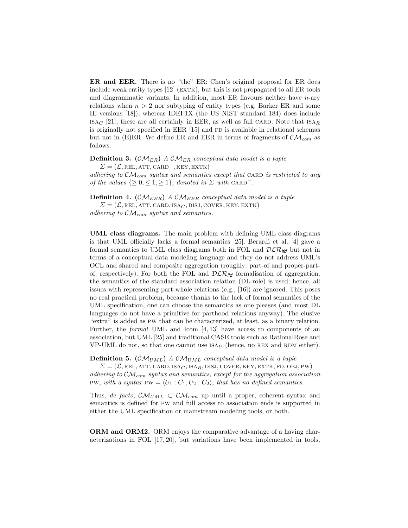ER and EER. There is no "the" ER: Chen's original proposal for ER does include weak entity types  $[12]$  (EXTK), but this is not propagated to all ER tools and diagrammatic variants. In addition, most ER flavours neither have n-ary relations when  $n > 2$  nor subtyping of entity types (e.g. Barker ER and some IE versions [18]), whereas IDEF1X (the US NIST standard 184) does include  $ISAC$  [21]; these are all certainly in EER, as well as full CARD. Note that  $ISA<sub>R</sub>$ is originally not specified in EER  $[15]$  and FD is available in relational schemas but not in (E)ER. We define ER and EER in terms of fragments of  $\mathcal{CM}_{com}$  as follows.

**Definition 3.** ( $\mathcal{CM}_{ER}$ ) A  $\mathcal{CM}_{ER}$  conceptual data model is a tuple  $\Sigma = (\mathcal{L}, \text{REL}, \text{ATT}, \text{CARD}^-, \text{KEY}, \text{EXTK})$ 

adhering to  $\mathcal{CM}_{com}$  syntax and semantics except that CARD is restricted to any of the values  $\{\geq 0, \leq 1, \geq 1\}$ , denoted in  $\Sigma$  with CARD<sup>-</sup>.

**Definition 4.** (CM<sub>EER</sub>) A CM<sub>EER</sub> conceptual data model is a tuple  $\Sigma = (\mathcal{L}, \text{REL}, \text{ATT}, \text{CARD}, \text{ISA}_C, \text{DISJ}, \text{Cover}, \text{KEY}, \text{EXTK})$ 

adhering to  $\mathcal{CM}_{com}$  syntax and semantics.

UML class diagrams. The main problem with defining UML class diagrams is that UML officially lacks a formal semantics [25]. Berardi et al. [4] gave a formal semantics to UML class diagrams both in FOL and DLR*ifd* but not in terms of a conceptual data modeling language and they do not address UML's OCL and shared and composite aggregation (roughly: part-of and proper-partof, respectively). For both the FOL and  $\mathcal{DLR}_{\textit{ifd}}$  formalisation of aggregation, the semantics of the standard association relation (DL-role) is used; hence, all issues with representing part-whole relations (e.g., [16]) are ignored. This poses no real practical problem, because thanks to the lack of formal semantics of the UML specification, one can choose the semantics as one pleases (and most DL languages do not have a primitive for parthood relations anyway). The elusive "extra" is added as pw that can be characterized, at least, as a binary relation. Further, the formal UML and Icom [4, 13] have access to components of an association, but UML [25] and traditional CASE tools such as RationalRose and VP-UML do not, so that one cannot use  $\text{ISA}_{U}$  (hence, no REX and RDM either).

**Definition 5.** (CM<sub>UML</sub>) A CM<sub>UML</sub> conceptual data model is a tuple

 $\Sigma = (\mathcal{L}, \text{REL}, \text{ATT}, \text{CARD}, \text{ISA}_C, \text{ISA}_R, \text{DISJ}, \text{COVER}, \text{KEY}, \text{EXTK}, \text{FD}, \text{OBJ}, \text{PW})$ adhering to  $\mathcal{CM}_{com}$  syntax and semantics, except for the aggregation association PW, with a syntax PW =  $\langle U_1 : C_1, U_2 : C_2 \rangle$ , that has no defined semantics.

Thus, de facto,  $\mathcal{CM}_{UML} \subset \mathcal{CM}_{com}$  up until a proper, coherent syntax and semantics is defined for pw and full access to association ends is supported in either the UML specification or mainstream modeling tools, or both.

ORM and ORM2. ORM enjoys the comparative advantage of a having characterizations in FOL [17, 20], but variations have been implemented in tools,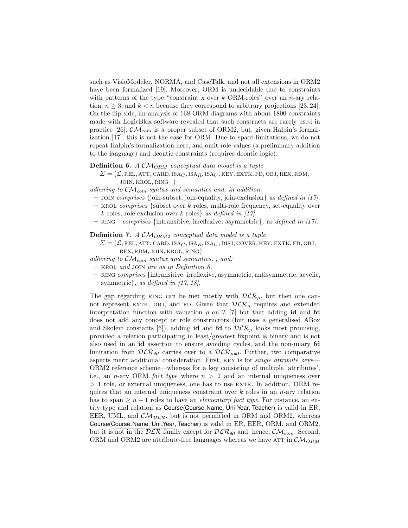such as VisioModeler, NORMA, and CaseTalk, and not all extensions in ORM2 have been formalized [19]. Moreover, ORM is undecidable due to constraints with patterns of the type "constraint x over k ORM-roles" over an n-ary relation,  $n \geq 3$ , and  $k < n$  because they correspond to arbitrary projections [23, 24]. On the flip side, an analysis of 168 ORM diagrams with about 1800 constraints made with LogicBlox software revealed that such constructs are rarely used in practice [26].  $\mathcal{CM}_{com}$  is a proper subset of ORM2, but, given Halpin's formalization [17], this is not the case for ORM. Due to space limitations, we do not repeat Halpin's formalization here, and omit role values (a preliminary addition to the language) and deontic constraints (requires deontic logic).

#### **Definition 6.** A  $\mathcal{CM}_{ORM}$  conceptual data model is a tuple

 $\Sigma = (\mathcal{L}, \text{REL}, \text{ATT}, \text{CARD}, \text{ISA}_C, \text{ISA}_R, \text{ISA}_U, \text{KEY}, \text{EXTK}, \text{FD}, \text{OBJ}, \text{REX}, \text{RDM},$  $JOIN, KROL, RING<sup>−</sup>)$ 

adhering to  $\mathcal{CM}_{com}$  syntax and semantics and, in addition:

- join comprises {join-subset, join-equality, join-exclusion} as defined in [17].
- KROL comprises {subset over k roles, multi-role frequency, set-equality over k roles, role exclusion over k roles} as defined in [17].
- RING<sup>−</sup> comprises {intransitive, irreflexive, asymmetric}, as defined in [17].

**Definition 7.** A  $CM_{ORM2}$  conceptual data model is a tuple

- $\Sigma = (\mathcal{L}, \text{REL}, \text{ATT}, \text{CARD}, \text{ISA}_C, \text{ISA}_R, \text{ISA}_U, \text{DISJ}, \text{Cover}, \text{KEY}, \text{EXTK}, \text{FD}, \text{OBJ},$ rex, rdm, join, krol, ring)
- adhering to  $\mathcal{CM}_{com}$  syntax and semantics, , and:
- krol and join are as in Definition 6.
- ring comprises {intransitive, irreflexive, asymmetric, antisymmetric, acyclic, symmetric $\}$ , as defined in [17, 18].

The gap regarding RING can be met mostly with  $D\mathcal{LR}_\mu$ , but then one cannot represent EXTK, OBJ, and FD. Given that  $D\mathcal{LR}_{\mu}$  requires and extended interpretation function with valuation  $\rho$  on  $\mathcal{I}$  [7] but that adding id and fd does not add any concept or role constructors (but uses a generalised ABox and Skolem constants [6]), adding id and fd to  $\mathcal{DLR}_{\mu}$  looks most promising, provided a relation participating in least/greatest fixpoint is binary and is not also used in an id assertion to ensure avoiding cycles, and the non-unary fd limitation from  $DLR_{\text{ifd}}$  carries over to a  $DLR_{\text{p},\text{ifd}}$ . Further, two comparative aspects merit additional consideration. First, KEY is for *single attribute* keys— ORM2 reference scheme—whereas for a key consisting of multiple 'attributes', i.e., an *n*-ary ORM *fact type* where  $n > 2$  and an internal uniqueness over  $> 1$  role, or external uniqueness, one has to use EXTK. In addition, ORM requires that an internal uniqueness constraint over  $k$  roles in an n-ary relation has to span  $\geq n-1$  roles to have an *elementary fact type*. For instance, an entity type and relation as Course(Course Name, Uni Year, Teacher) is valid in ER, EER, UML, and  $\mathcal{CM}_{DLR}$ , but is not permitted in ORM and ORM2, whereas Course(Course Name, Uni Year, Teacher) is valid in ER, EER, ORM, and ORM2, but it is not in the  $DLR$  family except for  $DLR_{\text{ifd}}$  and, hence,  $CM_{com}$ . Second, ORM and ORM2 are attribute-free languages whereas we have ATT in  $\mathcal{CM}_{ORM}$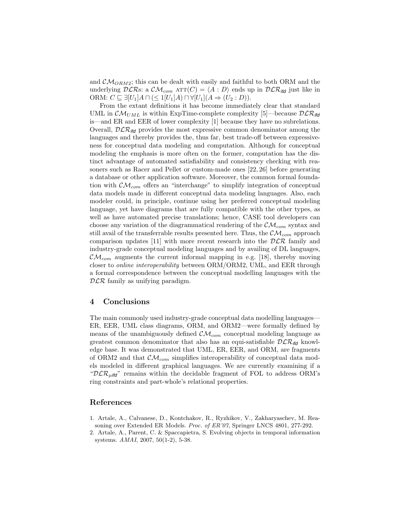and  $\mathcal{CM}_{ORM2}$ ; this can be dealt with easily and faithful to both ORM and the underlying  $DLRs$ : a  $CM_{com}$   $ATT(C) = \langle A : D \rangle$  ends up in  $DLR_{ifd}$  just like in ORM:  $C \subseteq \exists [U_1]A \sqcap (\leq 1[U_1]A) \sqcap \forall [U_1](A \Rightarrow (U_2 : D)).$ 

From the extant definitions it has become immediately clear that standard UML in  $\mathcal{CM}_{UML}$  is within ExpTime-complete complexity [5]—because  $\mathcal{DLR}_{\text{ifd}}$ is—and ER and EER of lower complexity [1] because they have no subrelations. Overall,  $DLR_{\text{ifd}}$  provides the most expressive common denominator among the languages and thereby provides the, thus far, best trade-off between expressiveness for conceptual data modeling and computation. Although for conceptual modeling the emphasis is more often on the former, computation has the distinct advantage of automated satisfiability and consistency checking with reasoners such as Racer and Pellet or custom-made ones [22, 26] before generating a database or other application software. Moreover, the common formal foundation with  $\mathcal{CM}_{com}$  offers an "interchange" to simplify integration of conceptual data models made in different conceptual data modeling languages. Also, each modeler could, in principle, continue using her preferred conceptual modeling language, yet have diagrams that are fully compatible with the other types, as well as have automated precise translations; hence, CASE tool developers can choose any variation of the diagrammatical rendering of the  $\mathcal{CM}_{com}$  syntax and still avail of the transferrable results presented here. Thus, the  $\mathcal{CM}_{com}$  approach comparison updates [11] with more recent research into the  $D\mathcal{LR}$  family and industry-grade conceptual modeling languages and by availing of DL languages,  $\mathcal{CM}_{com}$  augments the current informal mapping in e.g. [18], thereby moving closer to online interoperability between ORM/ORM2, UML, and EER through a formal correspondence between the conceptual modelling languages with the  $DLR$  family as unifying paradigm.

## 4 Conclusions

The main commonly used industry-grade conceptual data modelling languages— ER, EER, UML class diagrams, ORM, and ORM2—were formally defined by means of the unambiguously defined  $\mathcal{CM}_{com}$  conceptual modeling language as greatest common denominator that also has an equi-satisfiable  $D\mathcal{LR}_{\mathit{ifd}}$  knowledge base. It was demonstrated that UML, ER, EER, and ORM, are fragments of ORM2 and that  $\mathcal{CM}_{com}$  simplifies interoperability of conceptual data models modeled in different graphical languages. We are currently examining if a " $\mathcal{DLR}_{\mu i\tau}$ " remains within the decidable fragment of FOL to address ORM's ring constraints and part-whole's relational properties.

### References

- 1. Artale, A., Calvanese, D., Kontchakov, R., Ryzhikov, V., Zakharyaschev, M. Reasoning over Extended ER Models. Proc. of ER'07, Springer LNCS 4801, 277-292.
- 2. Artale, A., Parent, C. & Spaccapietra, S. Evolving objects in temporal information systems. AMAI, 2007, 50(1-2), 5-38.